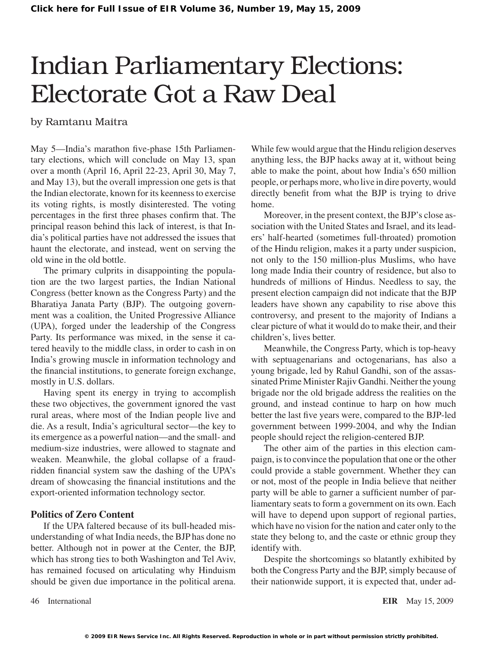# Indian Parliamentary Elections: Electorate Got a Raw Deal

## by Ramtanu Maitra

May 5—India's marathon five-phase 15th Parliamentary elections, which will conclude on May 13, span over a month (April 16, April 22-23, April 30, May 7, and May 13), but the overall impression one gets is that the Indian electorate, known for its keenness to exercise its voting rights, is mostly disinterested. The voting percentages in the first three phases confirm that. The principal reason behind this lack of interest, is that India's political parties have not addressed the issues that haunt the electorate, and instead, went on serving the old wine in the old bottle.

The primary culprits in disappointing the population are the two largest parties, the Indian National Congress (better known as the Congress Party) and the Bharatiya Janata Party (BJP). The outgoing government was a coalition, the United Progressive Alliance (UPA), forged under the leadership of the Congress Party. Its performance was mixed, in the sense it catered heavily to the middle class, in order to cash in on India's growing muscle in information technology and the financial institutions, to generate foreign exchange, mostly in U.S. dollars.

Having spent its energy in trying to accomplish these two objectives, the government ignored the vast rural areas, where most of the Indian people live and die. As a result, India's agricultural sector—the key to its emergence as a powerful nation—and the small- and medium-size industries, were allowed to stagnate and weaken. Meanwhile, the global collapse of a fraudridden financial system saw the dashing of the UPA's dream of showcasing the financial institutions and the export-oriented information technology sector.

## **Politics of Zero Content**

If the UPA faltered because of its bull-headed misunderstanding of what India needs, the BJP has done no better. Although not in power at the Center, the BJP, which has strong ties to both Washington and Tel Aviv, has remained focused on articulating why Hinduism should be given due importance in the political arena. While few would argue that the Hindu religion deserves anything less, the BJP hacks away at it, without being able to make the point, about how India's 650 million people, or perhaps more, who live in dire poverty, would directly benefit from what the BJP is trying to drive home.

Moreover, in the present context, the BJP's close association with the United States and Israel, and its leaders' half-hearted (sometimes full-throated) promotion of the Hindu religion, makes it a party under suspicion, not only to the 150 million-plus Muslims, who have long made India their country of residence, but also to hundreds of millions of Hindus. Needless to say, the present election campaign did not indicate that the BJP leaders have shown any capability to rise above this controversy, and present to the majority of Indians a clear picture of what it would do to make their, and their children's, lives better.

Meanwhile, the Congress Party, which is top-heavy with septuagenarians and octogenarians, has also a young brigade, led by Rahul Gandhi, son of the assassinated Prime Minister Rajiv Gandhi. Neither the young brigade nor the old brigade address the realities on the ground, and instead continue to harp on how much better the last five years were, compared to the BJP-led government between 1999-2004, and why the Indian people should reject the religion-centered BJP.

The other aim of the parties in this election campaign, isto convince the population that one or the other could provide a stable government. Whether they can or not, most of the people in India believe that neither party will be able to garner a sufficient number of parliamentary seats to form a government on its own. Each will have to depend upon support of regional parties, which have no vision for the nation and cater only to the state they belong to, and the caste or ethnic group they identify with.

Despite the shortcomings so blatantly exhibited by both the Congress Party and the BJP, simply because of their nationwide support, it is expected that, under ad-

46 International **EIR** May 15, 2009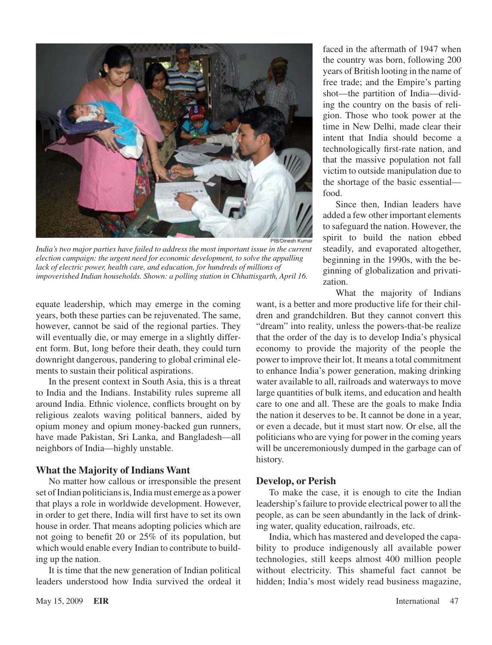

*India's two major parties have failed to address the most important issue in the current election campaign: the urgent need for economic development, to solve the appalling*  lack of electric power, health care, and education, for hundreds of millions of *impoverished Indian households. Shown: a polling station in Chhattisgarth, April 16.*

equate leadership, which may emerge in the coming years, both these parties can be rejuvenated. The same, however, cannot be said of the regional parties. They will eventually die, or may emerge in a slightly different form. But, long before their death, they could turn downright dangerous, pandering to global criminal elements to sustain their political aspirations.

In the present context in South Asia, this is a threat to India and the Indians. Instability rules supreme all around India. Ethnic violence, conflicts brought on by religious zealots waving political banners, aided by opium money and opium money-backed gun runners, have made Pakistan, Sri Lanka, and Bangladesh—all neighbors of India—highly unstable.

#### **What the Majority of Indians Want**

No matter how callous or irresponsible the present set of Indian politicians is, India must emerge as a power that plays a role in worldwide development. However, in order to get there, India will first have to set its own house in order. That means adopting policies which are not going to benefit 20 or 25% of its population, but which would enable every Indian to contribute to building up the nation.

It is time that the new generation of Indian political leaders understood how India survived the ordeal it faced in the aftermath of 1947 when the country was born, following 200 years of British looting in the name of free trade; and the Empire's parting shot—the partition of India—dividing the country on the basis of religion. Those who took power at the time in New Delhi, made clear their intent that India should become a technologically first-rate nation, and that the massive population not fall victim to outside manipulation due to the shortage of the basic essential food.

Since then, Indian leaders have added a few other important elements to safeguard the nation. However, the spirit to build the nation ebbed steadily, and evaporated altogether, beginning in the 1990s, with the beginning of globalization and privatization.

What the majority of Indians

want, is a better and more productive life for their children and grandchildren. But they cannot convert this "dream" into reality, unless the powers-that-be realize that the order of the day is to develop India's physical economy to provide the majority of the people the power to improve their lot. It means a total commitment to enhance India's power generation, making drinking water available to all, railroads and waterways to move large quantities of bulk items, and education and health care to one and all. These are the goals to make India the nation it deserves to be. It cannot be done in a year, or even a decade, but it must start now. Or else, all the politicians who are vying for power in the coming years will be unceremoniously dumped in the garbage can of history.

## **Develop, or Perish**

To make the case, it is enough to cite the Indian leadership'sfailure to provide electrical power to all the people, as can be seen abundantly in the lack of drinking water, quality education, railroads, etc.

India, which has mastered and developed the capability to produce indigenously all available power technologies, still keeps almost 400 million people without electricity. This shameful fact cannot be hidden; India's most widely read business magazine,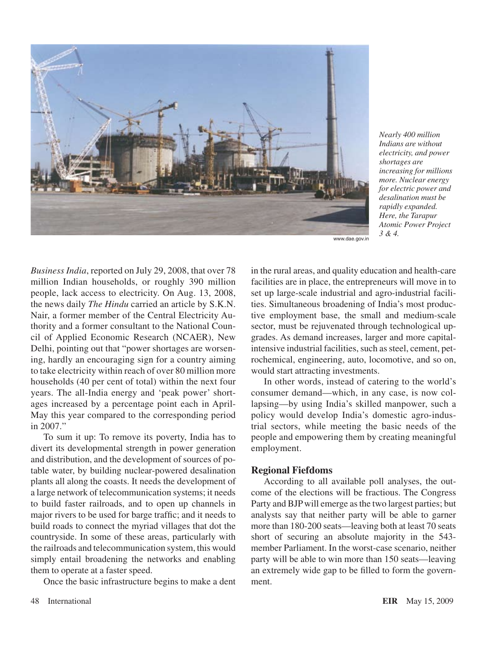

*Nearly 400 million Indians are without electricity, and power shortages are increasing for millions more. Nuclear energy for electric power and desalination must be rapidly expanded. Here, the Tarapur Atomic Power Project 3 & 4.*

www.dae.gov.in

*Business India*, reported on July 29, 2008, that over 78 million Indian households, or roughly 390 million people, lack access to electricity. On Aug. 13, 2008, the news daily *The Hindu* carried an article by S.K.N. Nair, a former member of the Central Electricity Authority and a former consultant to the National Council of Applied Economic Research (NCAER), New Delhi, pointing out that "power shortages are worsening, hardly an encouraging sign for a country aiming to take electricity within reach of over 80 million more households (40 per cent of total) within the next four years. The all-India energy and 'peak power' shortages increased by a percentage point each in April-May this year compared to the corresponding period in 2007."

To sum it up: To remove its poverty, India has to divert its developmental strength in power generation and distribution, and the development of sources of potable water, by building nuclear-powered desalination plants all along the coasts. It needs the development of a large network of telecommunication systems; it needs to build faster railroads, and to open up channels in major rivers to be used for barge traffic; and it needs to build roads to connect the myriad villages that dot the countryside. In some of these areas, particularly with the railroads and telecommunication system, this would simply entail broadening the networks and enabling them to operate at a faster speed.

Once the basic infrastructure begins to make a dent

in the rural areas, and quality education and health-care facilities are in place, the entrepreneurs will move in to set up large-scale industrial and agro-industrial facilities. Simultaneous broadening of India's most productive employment base, the small and medium-scale sector, must be rejuvenated through technological upgrades. As demand increases, larger and more capitalintensive industrial facilities, such as steel, cement, petrochemical, engineering, auto, locomotive, and so on, would start attracting investments.

In other words, instead of catering to the world's consumer demand—which, in any case, is now collapsing—by using India's skilled manpower, such a policy would develop India's domestic agro-industrial sectors, while meeting the basic needs of the people and empowering them by creating meaningful employment.

## **Regional Fiefdoms**

According to all available poll analyses, the outcome of the elections will be fractious. The Congress Party and BJPwill emerge asthe two largest parties; but analysts say that neither party will be able to garner more than 180-200 seats—leaving both at least 70 seats short of securing an absolute majority in the 543 member Parliament. In the worst-case scenario, neither party will be able to win more than 150 seats—leaving an extremely wide gap to be filled to form the government.